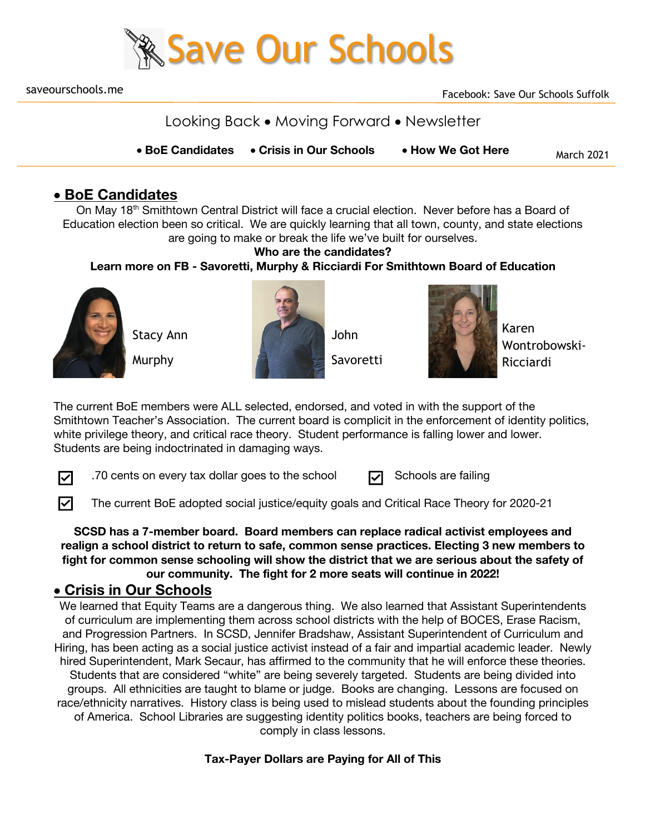

saveourschools.me

Looking Back • Moving Forward • Newsletter

March 2021 • **BoE Candidates** • **Crisis in Our Schools** • **How We Got Here**

## • **BoE Candidates**

On May 18<sup>th</sup> Smithtown Central District will face a crucial election. Never before has a Board of Education election been so critical. We are quickly learning that all town, county, and state elections are going to make or break the life we've built for ourselves.

#### **Who are the candidates?**

**Learn more on FB - Savoretti, Murphy & Ricciardi For Smithtown Board of Education**



Stacy Ann

Murphy





Karen Wontrobowski-Ricciardi

The current BoE members were ALL selected, endorsed, and voted in with the support of the Smithtown Teacher's Association. The current board is complicit in the enforcement of identity politics, white privilege theory, and critical race theory. Student performance is falling lower and lower. Students are being indoctrinated in damaging ways.

☑

☑

.70 cents on every tax dollar goes to the school  $\Box$  Schools are failing

| 刁 | Schools are failing |
|---|---------------------|
|   |                     |

The current BoE adopted social justice/equity goals and Critical Race Theory for 2020-21

**SCSD has a 7-member board. Board members can replace radical activist employees and realign a school district to return to safe, common sense practices. Electing 3 new members to fight for common sense schooling will show the district that we are serious about the safety of our community. The fight for 2 more seats will continue in 2022!** 

### • **Crisis in Our Schools**

We learned that Equity Teams are a dangerous thing. We also learned that Assistant Superintendents of curriculum are implementing them across school districts with the help of BOCES, Erase Racism, and Progression Partners. In SCSD, Jennifer Bradshaw, Assistant Superintendent of Curriculum and Hiring, has been acting as a social justice activist instead of a fair and impartial academic leader. Newly hired Superintendent, Mark Secaur, has affirmed to the community that he will enforce these theories. Students that are considered "white" are being severely targeted. Students are being divided into groups. All ethnicities are taught to blame or judge. Books are changing. Lessons are focused on race/ethnicity narratives. History class is being used to mislead students about the founding principles of America. School Libraries are suggesting identity politics books, teachers are being forced to comply in class lessons.

**Tax-Payer Dollars are Paying for All of This**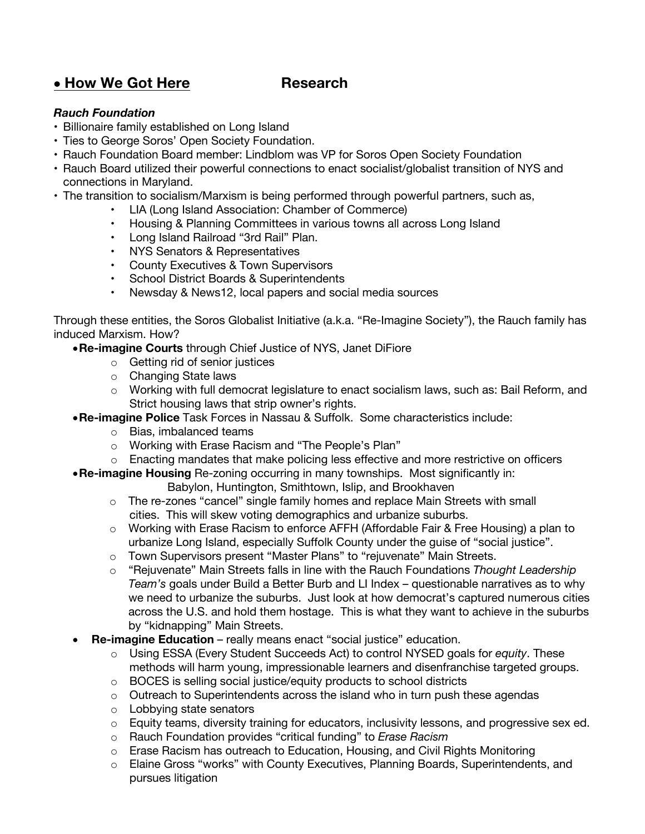# • **How We Got Here Research**

#### *Rauch Foundation*

- Billionaire family established on Long Island
- Ties to George Soros' Open Society Foundation.
- Rauch Foundation Board member: Lindblom was VP for Soros Open Society Foundation
- Rauch Board utilized their powerful connections to enact socialist/globalist transition of NYS and connections in Maryland.
- The transition to socialism/Marxism is being performed through powerful partners, such as,
	- LIA (Long Island Association: Chamber of Commerce)
	- Housing & Planning Committees in various towns all across Long Island
	- Long Island Railroad "3rd Rail" Plan.
	- NYS Senators & Representatives
	- County Executives & Town Supervisors
	- School District Boards & Superintendents
	- Newsday & News12, local papers and social media sources

Through these entities, the Soros Globalist Initiative (a.k.a. "Re-Imagine Society"), the Rauch family has induced Marxism. How?

- •**Re-imagine Courts** through Chief Justice of NYS, Janet DiFiore
	- o Getting rid of senior justices
	- o Changing State laws
	- o Working with full democrat legislature to enact socialism laws, such as: Bail Reform, and Strict housing laws that strip owner's rights.
- •**Re-imagine Police** Task Forces in Nassau & Suffolk. Some characteristics include:
	- o Bias, imbalanced teams
	- o Working with Erase Racism and "The People's Plan"
	- $\circ$  Enacting mandates that make policing less effective and more restrictive on officers
- •**Re-imagine Housing** Re-zoning occurring in many townships. Most significantly in:
	- Babylon, Huntington, Smithtown, Islip, and Brookhaven
	- o The re-zones "cancel" single family homes and replace Main Streets with small cities. This will skew voting demographics and urbanize suburbs.
	- $\circ$  Working with Erase Racism to enforce AFFH (Affordable Fair & Free Housing) a plan to urbanize Long Island, especially Suffolk County under the guise of "social justice".
	- o Town Supervisors present "Master Plans" to "rejuvenate" Main Streets.
	- o "Rejuvenate" Main Streets falls in line with the Rauch Foundations *Thought Leadership Team's* goals under Build a Better Burb and LI Index – questionable narratives as to why we need to urbanize the suburbs. Just look at how democrat's captured numerous cities across the U.S. and hold them hostage. This is what they want to achieve in the suburbs by "kidnapping" Main Streets.
- **Re-imagine Education** really means enact "social justice" education.
	- o Using ESSA (Every Student Succeeds Act) to control NYSED goals for *equity*. These methods will harm young, impressionable learners and disenfranchise targeted groups.
	- o BOCES is selling social justice/equity products to school districts
	- o Outreach to Superintendents across the island who in turn push these agendas
	- o Lobbying state senators
	- $\circ$  Equity teams, diversity training for educators, inclusivity lessons, and progressive sex ed.
	- o Rauch Foundation provides "critical funding" to *Erase Racism*
	- $\circ$  Erase Racism has outreach to Education, Housing, and Civil Rights Monitoring
	- o Elaine Gross "works" with County Executives, Planning Boards, Superintendents, and pursues litigation